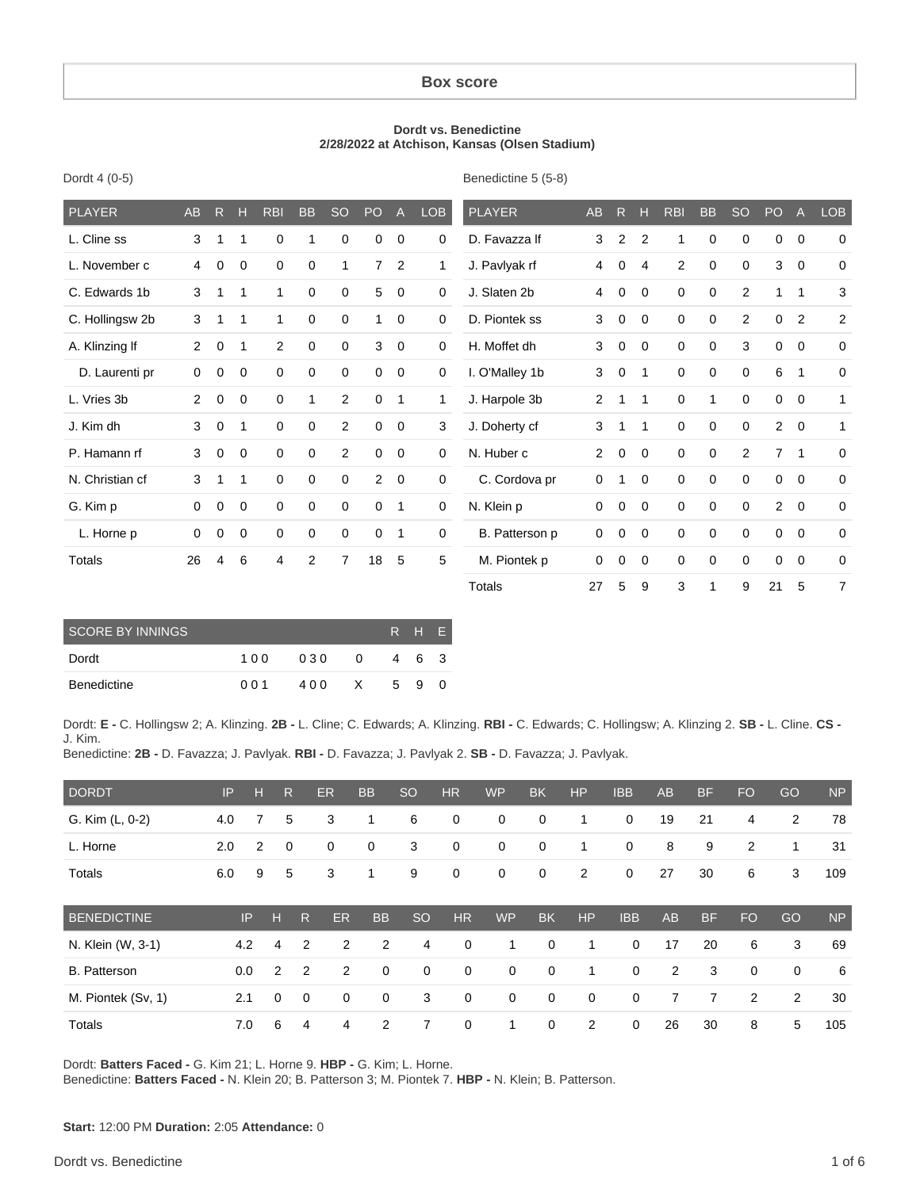#### **Box score**

#### **Dordt vs. Benedictine 2/28/2022 at Atchison, Kansas (Olsen Stadium)**

Benedictine 5 (5-8)

| <b>PLAYER</b>   | <b>AB</b>      | R           | H           | <b>RBI</b>  | <b>BB</b>   | <b>SO</b>      | PO             | $\mathsf{A}$   | <b>LOB</b>   | <b>PLAYER</b>  | AB             | $\mathsf{R}$ | $\mathbf H$    | <b>RBI</b>     | <b>BB</b>    | <b>SO</b>      | P <sub>O</sub> | $\overline{A}$ | <b>LOB</b>     |
|-----------------|----------------|-------------|-------------|-------------|-------------|----------------|----------------|----------------|--------------|----------------|----------------|--------------|----------------|----------------|--------------|----------------|----------------|----------------|----------------|
| L. Cline ss     | 3              | 1           | 1           | 0           | 1           | $\Omega$       | 0              | 0              | 0            | D. Favazza If  | 3              | 2            | $\overline{2}$ | 1              | 0            | $\mathbf 0$    | 0              | 0              | $\mathbf 0$    |
| L. November c   | 4              | $\mathbf 0$ | 0           | $\mathbf 0$ | $\mathbf 0$ | $\mathbf{1}$   | $\overline{7}$ | 2              | $\mathbf{1}$ | J. Pavlyak rf  | 4              | 0            | 4              | $\overline{2}$ | $\mathbf 0$  | $\mathbf 0$    | 3              | $\mathbf 0$    | $\mathbf 0$    |
| C. Edwards 1b   | 3              | 1           | $\mathbf 1$ | 1           | 0           | 0              | 5              | 0              | $\mathbf 0$  | J. Slaten 2b   | 4              | 0            | 0              | 0              | 0            | 2              | 1              | 1              | 3              |
| C. Hollingsw 2b | 3              | 1           | 1           | 1           | $\mathbf 0$ | 0              | 1              | $\mathbf 0$    | $\mathbf 0$  | D. Piontek ss  | 3              | $\mathbf 0$  | $\mathbf 0$    | $\mathbf 0$    | $\mathbf 0$  | $\overline{2}$ | 0              | $\overline{2}$ | $\overline{a}$ |
| A. Klinzing If  | $\overline{2}$ | $\mathbf 0$ | 1           | 2           | $\mathbf 0$ | 0              | 3              | $\mathbf 0$    | $\mathbf 0$  | H. Moffet dh   | 3              | $\mathbf 0$  | 0              | $\mathbf 0$    | 0            | 3              | 0              | $\mathbf 0$    | 0              |
| D. Laurenti pr  | $\mathbf{0}$   | 0           | $\mathbf 0$ | $\mathbf 0$ | $\mathbf 0$ | $\mathbf 0$    | $\mathbf 0$    | $\overline{0}$ | $\mathbf 0$  | I. O'Malley 1b | 3              | $\mathbf 0$  | -1             | 0              | $\mathbf 0$  | $\mathbf 0$    | 6              | 1              | 0              |
| L. Vries 3b     | $\overline{2}$ | 0           | $\mathbf 0$ | $\mathbf 0$ | 1           | $\overline{2}$ | 0              | 1              | 1            | J. Harpole 3b  | $\overline{2}$ | 1            | 1              | $\mathbf 0$    | $\mathbf{1}$ | $\mathbf 0$    | 0              | $\mathbf 0$    | 1              |
| J. Kim dh       | 3              | $\mathbf 0$ | 1           | $\mathbf 0$ | $\mathbf 0$ | $\overline{2}$ | 0              | $\mathbf 0$    | 3            | J. Doherty cf  | 3              | 1            | -1             | $\mathbf 0$    | $\mathbf 0$  | $\mathbf 0$    | $\overline{2}$ | $\mathbf{0}$   | 1              |
| P. Hamann rf    | 3              | $\mathbf 0$ | 0           | $\mathbf 0$ | 0           | $\overline{2}$ | $\mathbf 0$    | $\mathbf 0$    | 0            | N. Huber c     | 2              | 0            | $\mathbf 0$    | 0              | 0            | 2              | $\overline{7}$ | $\mathbf{1}$   | 0              |
| N. Christian cf | 3              | 1           | 1           | 0           | 0           | 0              | $\overline{2}$ | $\overline{0}$ | 0            | C. Cordova pr  | 0              |              | $\mathbf 0$    | 0              | $\mathbf 0$  | $\mathbf 0$    | 0              | $\mathbf 0$    | $\mathbf 0$    |
| G. Kim p        | $\Omega$       | 0           | 0           | $\mathbf 0$ | 0           | $\Omega$       | $\mathbf 0$    | $\mathbf 1$    | 0            | N. Klein p     | $\Omega$       | $\mathbf 0$  | $\mathbf 0$    | 0              | 0            | $\mathbf 0$    | 2              | $\mathbf 0$    | 0              |
| L. Horne p      | 0              | 0           | 0           | 0           | 0           | 0              | 0              | $\mathbf{1}$   | 0            | B. Patterson p | 0              | 0            | $\mathbf 0$    | 0              | $\mathbf 0$  | $\mathbf 0$    | 0              | $\mathbf 0$    | 0              |
| <b>Totals</b>   | 26             | 4           | 6           | 4           | 2           | $\overline{7}$ | 18             | 5              | 5            | M. Piontek p   | 0              | 0            | $\mathbf 0$    | $\mathbf 0$    | 0            | $\mathbf 0$    | 0              | $\mathbf 0$    | 0              |
|                 |                |             |             |             |             |                |                |                |              | Totals         | 27             | 5            | 9              | 3              | 1            | 9              | 21             | 5              | 7              |

| <b>SCORE BY INNINGS</b> |     |     |              | R H E |     |
|-------------------------|-----|-----|--------------|-------|-----|
| Dordt                   | 100 | 030 | <sup>0</sup> | 46    | - 3 |
| Benedictine             | 001 | 400 | X            | 59    | 0   |

Dordt: E - C. Hollingsw 2; A. Klinzing. 2B - L. Cline; C. Edwards; A. Klinzing. RBI - C. Edwards; C. Hollingsw; A. Klinzing 2. SB - L. Cline. CS -J. Kim. Benedictine: 2B - D. Favazza; J. Pavlyak. RBI - D. Favazza; J. Pavlyak 2. SB - D. Favazza; J. Pavlyak.

| <b>DORDT</b>        | IP  | н   | $\mathsf{R}$ | ER             | <b>BB</b>                  | <sub>SO</sub> | <b>HR</b>   | <b>WP</b>   | <b>BK</b>   | HP          | <b>IBB</b>  | <b>AB</b> | <b>BF</b>      | <b>FO</b>      | GO          | <b>NP</b> |
|---------------------|-----|-----|--------------|----------------|----------------------------|---------------|-------------|-------------|-------------|-------------|-------------|-----------|----------------|----------------|-------------|-----------|
| G. Kim (L, 0-2)     | 4.0 | 7   | 5            | 3              | 1                          | 6             | $\mathbf 0$ | $\mathbf 0$ | 0           | 1           | $\mathbf 0$ | 19        | 21             | 4              | 2           | 78        |
| L. Horne            | 2.0 | 2   | 0            | 0              | 0                          | 3             | $\mathbf 0$ | 0           | 0           | 1           | $\mathbf 0$ | 8         | 9              | $\overline{2}$ | 1           | 31        |
| Totals              | 6.0 | 9   | 5            | 3              | 1                          | 9             | 0           | 0           | 0           | 2           | $\mathbf 0$ | 27        | 30             | 6              | 3           | 109       |
| <b>BENEDICTINE</b>  |     | IP  | н            | ER<br>R.       | <b>BB</b>                  | <b>SO</b>     | <b>HR</b>   | <b>WP</b>   | <b>BK</b>   | HP          | <b>IBB</b>  | AB        | <b>BF</b>      | <b>FO</b>      | GO          | <b>NP</b> |
| N. Klein (W, 3-1)   |     | 4.2 | 4            | 2              | 2<br>2                     | 4             | $\mathbf 0$ | 1           | $\mathbf 0$ | 1           | $\mathbf 0$ | 17        | 20             | 6              | 3           | 69        |
| <b>B.</b> Patterson |     | 0.0 | 2            | $\overline{2}$ | 2<br>$\mathbf 0$           | $\mathbf 0$   | $\mathbf 0$ | $\mathbf 0$ | $\mathbf 0$ | 1           | 0           | 2         | 3              | $\mathbf 0$    | $\mathbf 0$ | 6         |
| M. Piontek (Sv, 1)  | 2.1 |     | $\Omega$     | 0              | $\mathbf 0$<br>$\mathbf 0$ | 3             | $\mathbf 0$ | $\mathbf 0$ | $\mathbf 0$ | $\mathbf 0$ | $\mathbf 0$ | 7         | $\overline{7}$ | $\overline{2}$ | 2           | 30        |
| Totals              |     | 7.0 | 6            | 4              | 2<br>4                     | 7             | $\mathbf 0$ | 1           | $\mathbf 0$ | 2           | 0           | 26        | 30             | 8              | 5           | 105       |

Dordt: Batters Faced - G. Kim 21; L. Horne 9. HBP - G. Kim; L. Horne.

Benedictine: Batters Faced - N. Klein 20; B. Patterson 3; M. Piontek 7. HBP - N. Klein; B. Patterson.

Dordt 4 (0-5)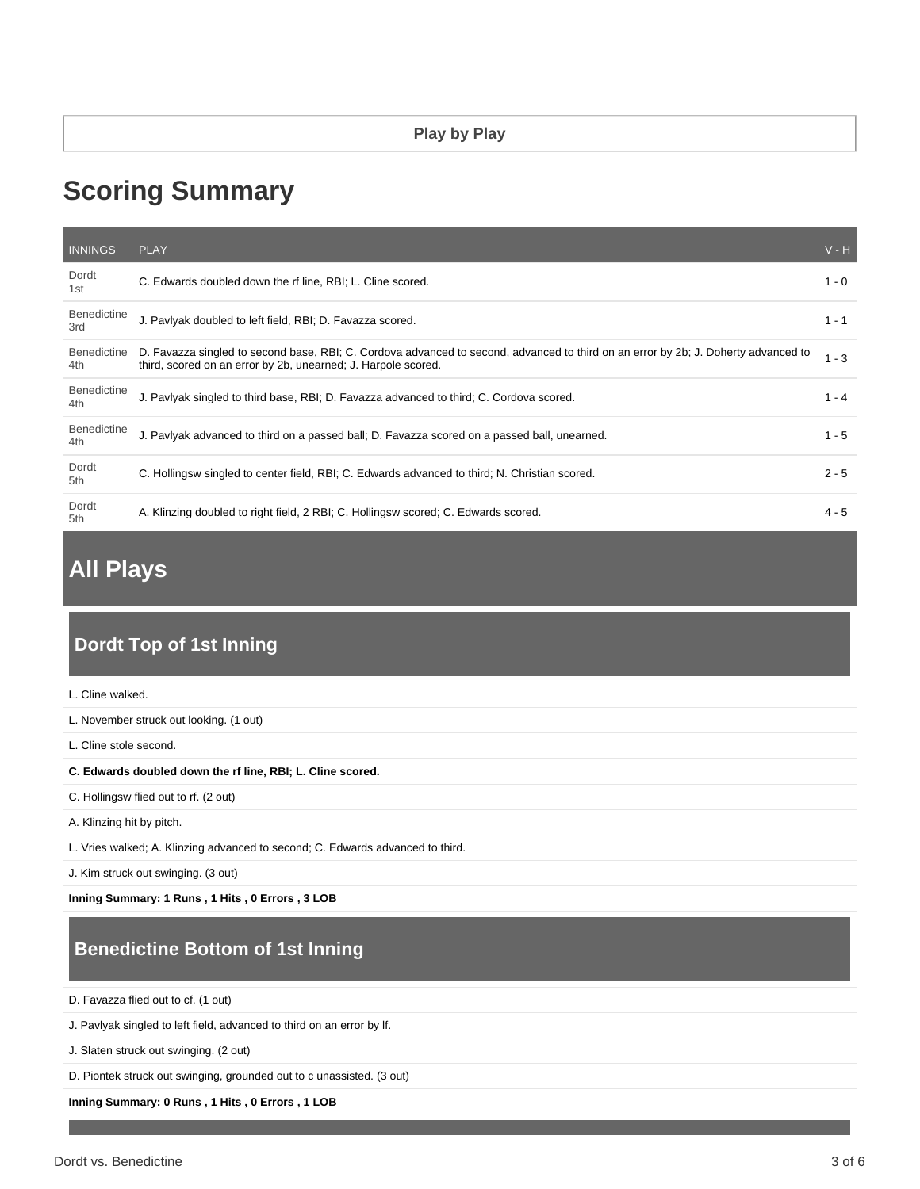#### **Play by Play**

# **Scoring Summary**

| <b>INNINGS</b>            | <b>PLAY</b>                                                                                                                                                                                         | $V - H$ |
|---------------------------|-----------------------------------------------------------------------------------------------------------------------------------------------------------------------------------------------------|---------|
| Dordt<br>1st              | C. Edwards doubled down the rf line, RBI; L. Cline scored.                                                                                                                                          | $1 - 0$ |
| <b>Benedictine</b><br>3rd | J. Pavlyak doubled to left field, RBI; D. Favazza scored.                                                                                                                                           | $1 - 1$ |
| Benedictine<br>4th        | D. Favazza singled to second base, RBI; C. Cordova advanced to second, advanced to third on an error by 2b; J. Doherty advanced to<br>third, scored on an error by 2b, unearned; J. Harpole scored. | $1 - 3$ |
| <b>Benedictine</b><br>4th | J. Pavlyak singled to third base, RBI; D. Favazza advanced to third; C. Cordova scored.                                                                                                             | $1 - 4$ |
| <b>Benedictine</b><br>4th | J. Pavlyak advanced to third on a passed ball; D. Favazza scored on a passed ball, unearned.                                                                                                        | $1 - 5$ |
| Dordt<br>5th              | C. Hollingsw singled to center field, RBI; C. Edwards advanced to third; N. Christian scored.                                                                                                       | $2 - 5$ |
| Dordt<br>5th              | A. Klinzing doubled to right field, 2 RBI; C. Hollingsw scored; C. Edwards scored.                                                                                                                  | $4 - 5$ |

# **All Plays**

#### **Dordt Top of 1st Inning**

| L. Cline walked.                                                               |
|--------------------------------------------------------------------------------|
| L. November struck out looking. (1 out)                                        |
| L. Cline stole second.                                                         |
| C. Edwards doubled down the rf line, RBI; L. Cline scored.                     |
| C. Hollingsw flied out to rf. (2 out)                                          |
| A. Klinzing hit by pitch.                                                      |
| L. Vries walked; A. Klinzing advanced to second; C. Edwards advanced to third. |
| J. Kim struck out swinging. (3 out)                                            |

**Inning Summary: 1 Runs , 1 Hits , 0 Errors , 3 LOB**

## **Benedictine Bottom of 1st Inning**

D. Favazza flied out to cf. (1 out)

J. Pavlyak singled to left field, advanced to third on an error by lf.

J. Slaten struck out swinging. (2 out)

D. Piontek struck out swinging, grounded out to c unassisted. (3 out)

**Inning Summary: 0 Runs , 1 Hits , 0 Errors , 1 LOB**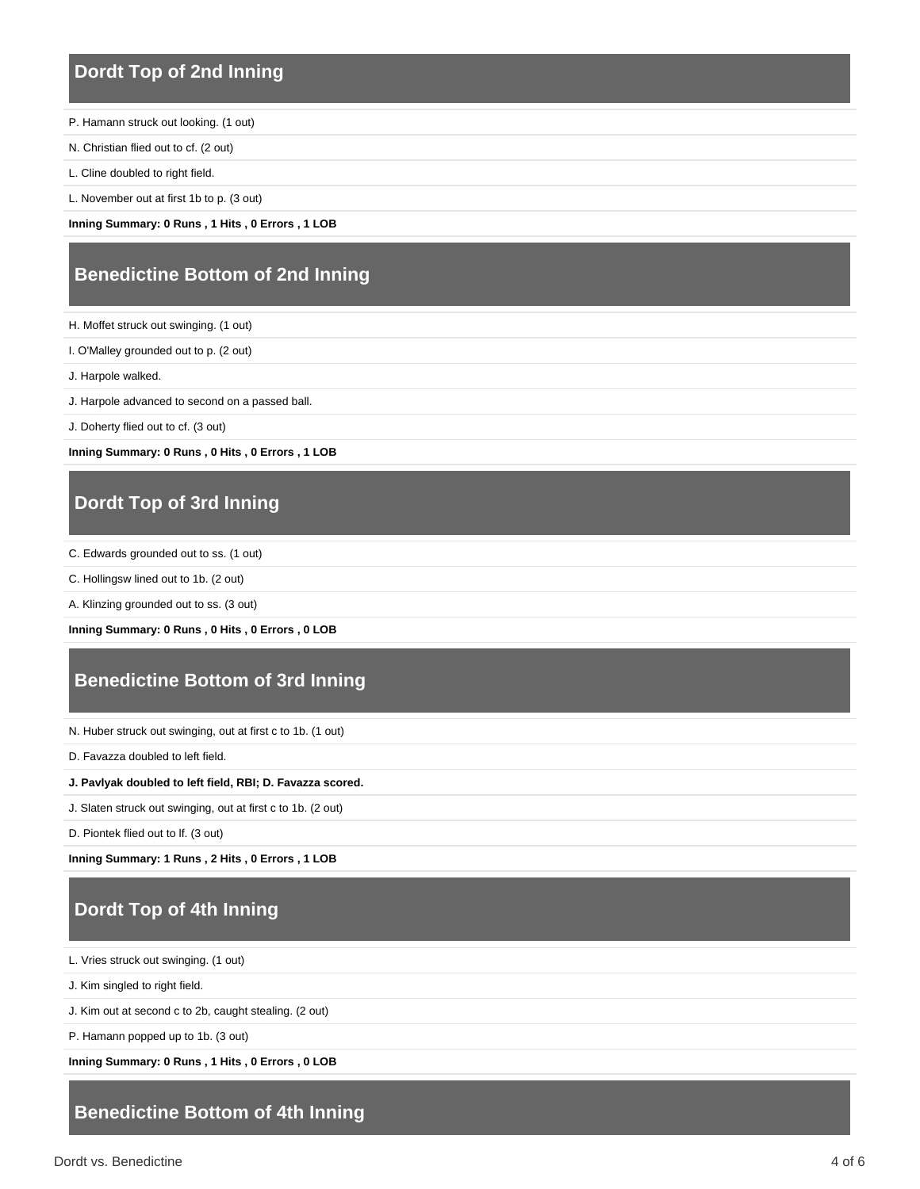#### **Dordt Top of 2nd Inning**

P. Hamann struck out looking. (1 out)

N. Christian flied out to cf. (2 out)

L. Cline doubled to right field.

L. November out at first 1b to p. (3 out)

**Inning Summary: 0 Runs , 1 Hits , 0 Errors , 1 LOB**

#### **Benedictine Bottom of 2nd Inning**

H. Moffet struck out swinging. (1 out)

I. O'Malley grounded out to p. (2 out)

J. Harpole walked.

J. Harpole advanced to second on a passed ball.

J. Doherty flied out to cf. (3 out)

**Inning Summary: 0 Runs , 0 Hits , 0 Errors , 1 LOB**

## **Dordt Top of 3rd Inning**

C. Edwards grounded out to ss. (1 out)

C. Hollingsw lined out to 1b. (2 out)

A. Klinzing grounded out to ss. (3 out)

**Inning Summary: 0 Runs , 0 Hits , 0 Errors , 0 LOB**

#### **Benedictine Bottom of 3rd Inning**

N. Huber struck out swinging, out at first c to 1b. (1 out)

D. Favazza doubled to left field.

#### **J. Pavlyak doubled to left field, RBI; D. Favazza scored.**

J. Slaten struck out swinging, out at first c to 1b. (2 out)

D. Piontek flied out to lf. (3 out)

**Inning Summary: 1 Runs , 2 Hits , 0 Errors , 1 LOB**

## **Dordt Top of 4th Inning**

L. Vries struck out swinging. (1 out)

J. Kim singled to right field.

J. Kim out at second c to 2b, caught stealing. (2 out)

P. Hamann popped up to 1b. (3 out)

**Inning Summary: 0 Runs , 1 Hits , 0 Errors , 0 LOB**

#### **Benedictine Bottom of 4th Inning**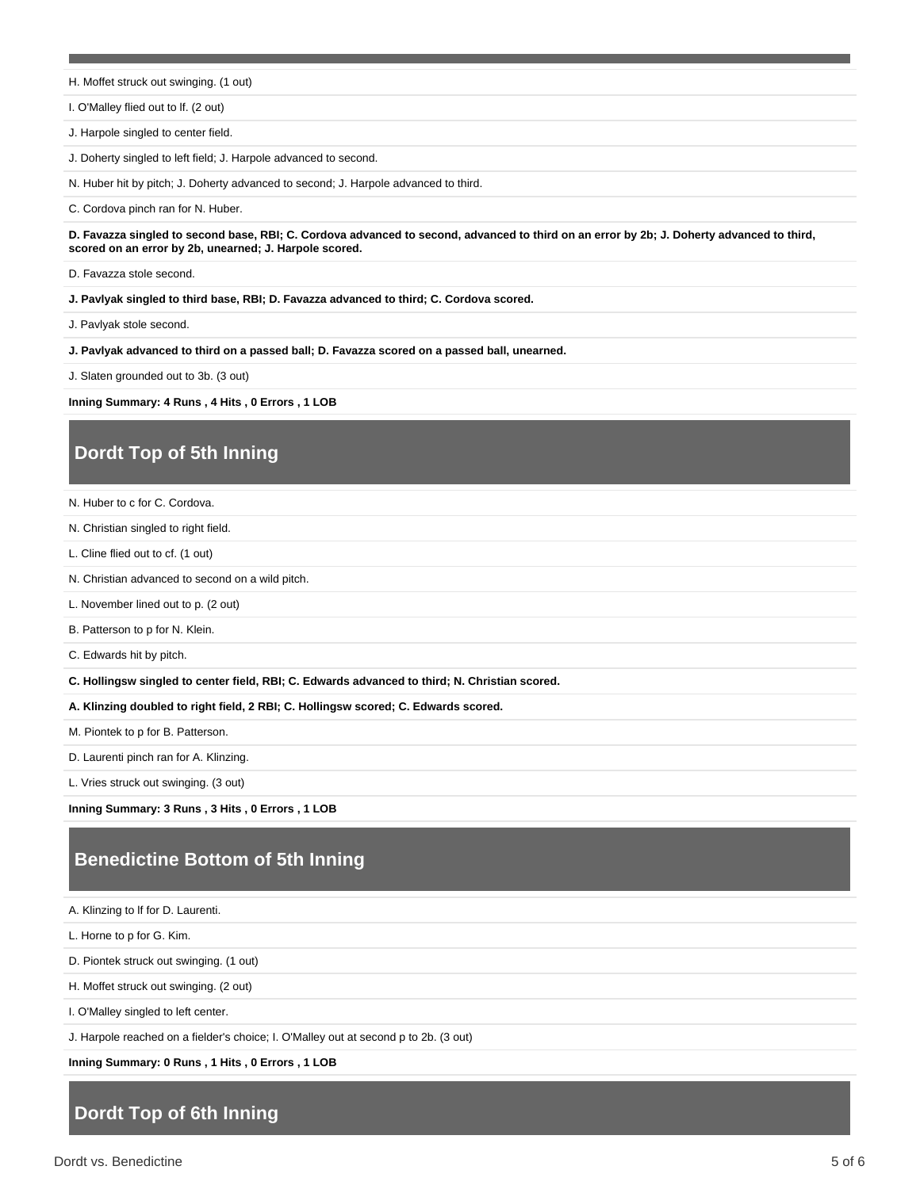H. Moffet struck out swinging. (1 out)

I. O'Malley flied out to lf. (2 out)

J. Harpole singled to center field.

J. Doherty singled to left field; J. Harpole advanced to second.

N. Huber hit by pitch; J. Doherty advanced to second; J. Harpole advanced to third.

C. Cordova pinch ran for N. Huber.

**D. Favazza singled to second base, RBI; C. Cordova advanced to second, advanced to third on an error by 2b; J. Doherty advanced to third, scored on an error by 2b, unearned; J. Harpole scored.**

D. Favazza stole second.

**J. Pavlyak singled to third base, RBI; D. Favazza advanced to third; C. Cordova scored.**

J. Pavlyak stole second.

**J. Pavlyak advanced to third on a passed ball; D. Favazza scored on a passed ball, unearned.**

J. Slaten grounded out to 3b. (3 out)

**Inning Summary: 4 Runs , 4 Hits , 0 Errors , 1 LOB**

### **Dordt Top of 5th Inning**

N. Huber to c for C. Cordova.

N. Christian singled to right field.

L. Cline flied out to cf. (1 out)

N. Christian advanced to second on a wild pitch.

L. November lined out to p. (2 out)

B. Patterson to p for N. Klein.

C. Edwards hit by pitch.

**C. Hollingsw singled to center field, RBI; C. Edwards advanced to third; N. Christian scored.**

**A. Klinzing doubled to right field, 2 RBI; C. Hollingsw scored; C. Edwards scored.**

M. Piontek to p for B. Patterson.

D. Laurenti pinch ran for A. Klinzing.

L. Vries struck out swinging. (3 out)

**Inning Summary: 3 Runs , 3 Hits , 0 Errors , 1 LOB**

#### **Benedictine Bottom of 5th Inning**

A. Klinzing to lf for D. Laurenti.

L. Horne to p for G. Kim.

D. Piontek struck out swinging. (1 out)

H. Moffet struck out swinging. (2 out)

I. O'Malley singled to left center.

J. Harpole reached on a fielder's choice; I. O'Malley out at second p to 2b. (3 out)

**Inning Summary: 0 Runs , 1 Hits , 0 Errors , 1 LOB**

#### **Dordt Top of 6th Inning**